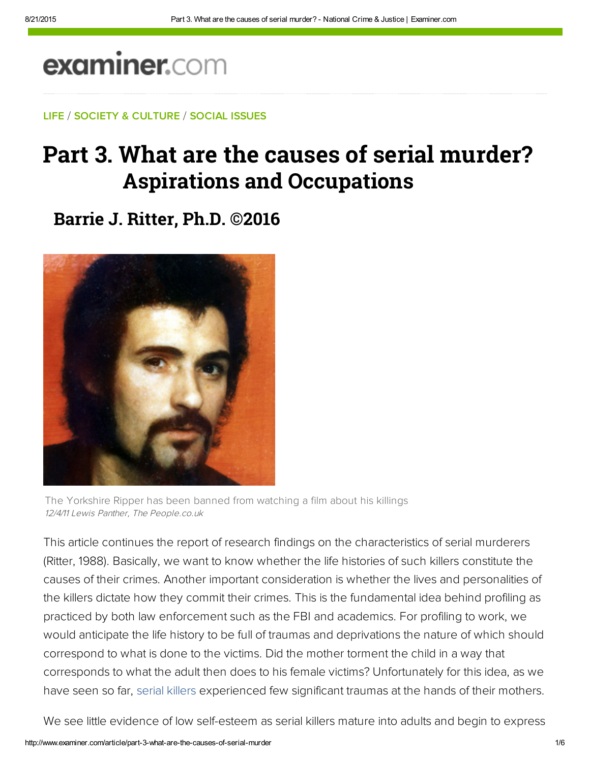# examiner.com

LIFE / SOCIETY & CULTURE / SOCIAL ISSUES

## Part 3. What are the causes of serial murder? **Aspirations and Occupations**

**Barrie J. Ritter, Ph.D. ©2016**



The Yorkshire Ripper has been banned from watching a film about his killings 12/4/11 Lewis Panther, The People.co.uk

This article continues the report of research findings on the characteristics of serial murderers (Ritter, 1988). Basically, we want to know whether the life histories of such killers constitute the causes of their crimes. Another important consideration is whether the lives and personalities of the killers dictate how they commit their crimes. This is the fundamental idea behind profiling as practiced by both law enforcement such as the FBI and academics. For profiling to work, we would anticipate the life history to be full of traumas and deprivations the nature of which should correspond to what is done to the victims. Did the mother torment the child in a way that corresponds to what the adult then does to his female victims? Unfortunately for this idea, as we have seen so far, serial killers experienced few significant traumas at the hands of their mothers.

We see little evidence of low self-esteem as serial killers mature into adults and begin to express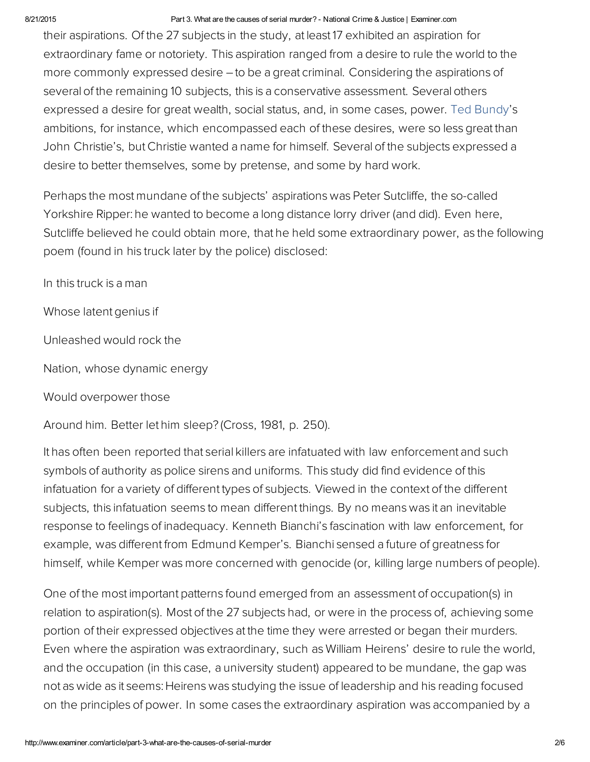#### 8/21/2015 Part 3. What are the causes of serial murder? National Crime & Justice | Examiner.com

their aspirations. Of the 27 subjects in the study, at least 17 exhibited an aspiration for extraordinary fame or notoriety. This aspiration ranged from a desire to rule the world to the more commonly expressed desire – to be a great criminal. Considering the aspirations of several of the remaining 10 subjects, this is a conservative assessment. Several others expressed a desire for great wealth, social status, and, in some cases, power. Ted Bundy's ambitions, for instance, which encompassed each of these desires, were so less great than John Christie's, but Christie wanted a name for himself. Several of the subjects expressed a desire to better themselves, some by pretense, and some by hard work.

Perhaps the most mundane of the subjects' aspirations was Peter Sutcliffe, the so-called Yorkshire Ripper: he wanted to become a long distance lorry driver (and did). Even here, Sutcliffe believed he could obtain more, that he held some extraordinary power, as the following poem (found in his truck later by the police) disclosed:

In this truck is a man

Whose latent genius if

Unleashed would rock the

Nation, whose dynamic energy

Would overpower those

Around him. Better let him sleep? (Cross, 1981, p. 250).

It has often been reported that serial killers are infatuated with law enforcement and such symbols of authority as police sirens and uniforms. This study did find evidence of this infatuation for a variety of different types of subjects. Viewed in the context of the different subjects, this infatuation seems to mean different things. By no means was it an inevitable response to feelings of inadequacy. Kenneth Bianchi's fascination with law enforcement, for example, was different from Edmund Kemper's. Bianchi sensed a future of greatness for himself, while Kemper was more concerned with genocide (or, killing large numbers of people).

One of the most important patterns found emerged from an assessment of occupation(s) in relation to aspiration(s). Most of the 27 subjects had, or were in the process of, achieving some portion of their expressed objectives at the time they were arrested or began their murders. Even where the aspiration was extraordinary, such as William Heirens' desire to rule the world, and the occupation (in this case, a university student) appeared to be mundane, the gap was not as wide as it seems: Heirens was studying the issue of leadership and his reading focused on the principles of power. In some cases the extraordinary aspiration was accompanied by a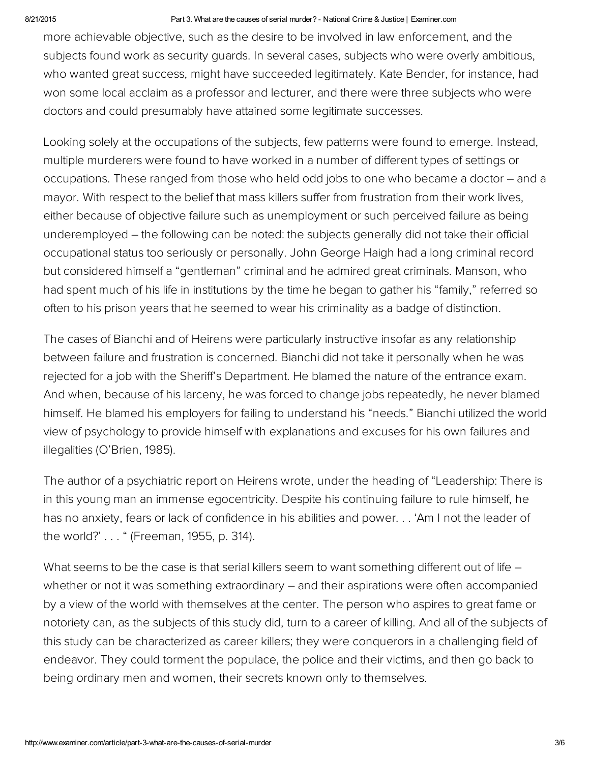#### 8/21/2015 Part 3. What are the causes of serial murder? National Crime & Justice | Examiner.com

more achievable objective, such as the desire to be involved in law enforcement, and the subjects found work as security guards. In several cases, subjects who were overly ambitious, who wanted great success, might have succeeded legitimately. Kate Bender, for instance, had won some local acclaim as a professor and lecturer, and there were three subjects who were doctors and could presumably have attained some legitimate successes.

Looking solely at the occupations of the subjects, few patterns were found to emerge. Instead, multiple murderers were found to have worked in a number of different types of settings or occupations. These ranged from those who held odd jobs to one who became a doctor – and a mayor. With respect to the belief that mass killers suffer from frustration from their work lives, either because of objective failure such as unemployment or such perceived failure as being underemployed – the following can be noted: the subjects generally did not take their official occupational status too seriously or personally. John George Haigh had a long criminal record but considered himself a "gentleman" criminal and he admired great criminals. Manson, who had spent much of his life in institutions by the time he began to gather his "family," referred so often to his prison years that he seemed to wear his criminality as a badge of distinction.

The cases of Bianchi and of Heirens were particularly instructive insofar as any relationship between failure and frustration is concerned. Bianchi did not take it personally when he was rejected for a job with the Sheriff's Department. He blamed the nature of the entrance exam. And when, because of his larceny, he was forced to change jobs repeatedly, he never blamed himself. He blamed his employers for failing to understand his "needs." Bianchi utilized the world view of psychology to provide himself with explanations and excuses for his own failures and illegalities (O'Brien, 1985).

The author of a psychiatric report on Heirens wrote, under the heading of "Leadership: There is in this young man an immense egocentricity. Despite his continuing failure to rule himself, he has no anxiety, fears or lack of confidence in his abilities and power. . . 'Am I not the leader of the world?' . . . " (Freeman, 1955, p. 314).

What seems to be the case is that serial killers seem to want something different out of life – whether or not it was something extraordinary – and their aspirations were often accompanied by a view of the world with themselves at the center. The person who aspires to great fame or notoriety can, as the subjects of this study did, turn to a career of killing. And all of the subjects of this study can be characterized as career killers; they were conquerors in a challenging field of endeavor. They could torment the populace, the police and their victims, and then go back to being ordinary men and women, their secrets known only to themselves.